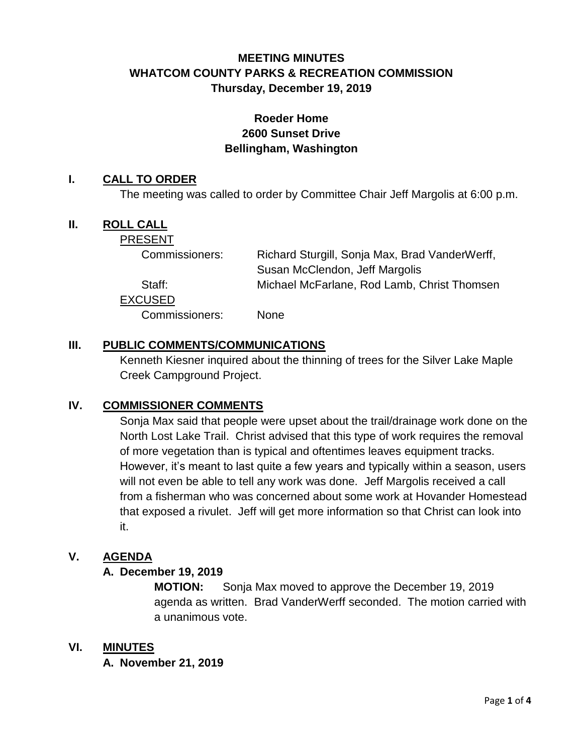# **MEETING MINUTES WHATCOM COUNTY PARKS & RECREATION COMMISSION Thursday, December 19, 2019**

# **Roeder Home 2600 Sunset Drive Bellingham, Washington**

#### **I. CALL TO ORDER**

The meeting was called to order by Committee Chair Jeff Margolis at 6:00 p.m.

## **II. ROLL CALL**

PRESENT

| Commissioners: | Richard Sturgill, Sonja Max, Brad VanderWerff, |
|----------------|------------------------------------------------|
|                | Susan McClendon, Jeff Margolis                 |
| Staff:         | Michael McFarlane, Rod Lamb, Christ Thomsen    |
| <b>EXCUSED</b> |                                                |
| Commissioners: | <b>None</b>                                    |

## **III. PUBLIC COMMENTS/COMMUNICATIONS**

Kenneth Kiesner inquired about the thinning of trees for the Silver Lake Maple Creek Campground Project.

#### **IV. COMMISSIONER COMMENTS**

Sonja Max said that people were upset about the trail/drainage work done on the North Lost Lake Trail. Christ advised that this type of work requires the removal of more vegetation than is typical and oftentimes leaves equipment tracks. However, it's meant to last quite a few years and typically within a season, users will not even be able to tell any work was done. Jeff Margolis received a call from a fisherman who was concerned about some work at Hovander Homestead that exposed a rivulet. Jeff will get more information so that Christ can look into it.

#### **V. AGENDA**

#### **A. December 19, 2019**

**MOTION:** Sonja Max moved to approve the December 19, 2019 agenda as written. Brad VanderWerff seconded. The motion carried with a unanimous vote.

#### **VI. MINUTES**

**A. November 21, 2019**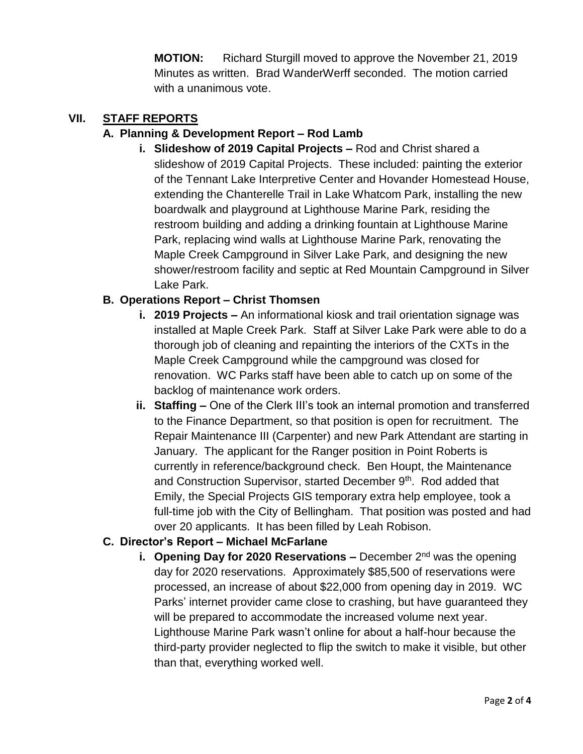**MOTION:** Richard Sturgill moved to approve the November 21, 2019 Minutes as written. Brad WanderWerff seconded. The motion carried with a unanimous vote.

## **VII. STAFF REPORTS**

## **A. Planning & Development Report – Rod Lamb**

**i. Slideshow of 2019 Capital Projects –** Rod and Christ shared a slideshow of 2019 Capital Projects. These included: painting the exterior of the Tennant Lake Interpretive Center and Hovander Homestead House, extending the Chanterelle Trail in Lake Whatcom Park, installing the new boardwalk and playground at Lighthouse Marine Park, residing the restroom building and adding a drinking fountain at Lighthouse Marine Park, replacing wind walls at Lighthouse Marine Park, renovating the Maple Creek Campground in Silver Lake Park, and designing the new shower/restroom facility and septic at Red Mountain Campground in Silver Lake Park.

## **B. Operations Report – Christ Thomsen**

- **i. 2019 Projects –** An informational kiosk and trail orientation signage was installed at Maple Creek Park. Staff at Silver Lake Park were able to do a thorough job of cleaning and repainting the interiors of the CXTs in the Maple Creek Campground while the campground was closed for renovation. WC Parks staff have been able to catch up on some of the backlog of maintenance work orders.
- **ii. Staffing –** One of the Clerk III's took an internal promotion and transferred to the Finance Department, so that position is open for recruitment. The Repair Maintenance III (Carpenter) and new Park Attendant are starting in January. The applicant for the Ranger position in Point Roberts is currently in reference/background check. Ben Houpt, the Maintenance and Construction Supervisor, started December 9<sup>th</sup>. Rod added that Emily, the Special Projects GIS temporary extra help employee, took a full-time job with the City of Bellingham. That position was posted and had over 20 applicants. It has been filled by Leah Robison.

#### **C. Director's Report – Michael McFarlane**

**i. Opening Day for 2020 Reservations –** December 2<sup>nd</sup> was the opening day for 2020 reservations. Approximately \$85,500 of reservations were processed, an increase of about \$22,000 from opening day in 2019. WC Parks' internet provider came close to crashing, but have guaranteed they will be prepared to accommodate the increased volume next year. Lighthouse Marine Park wasn't online for about a half-hour because the third-party provider neglected to flip the switch to make it visible, but other than that, everything worked well.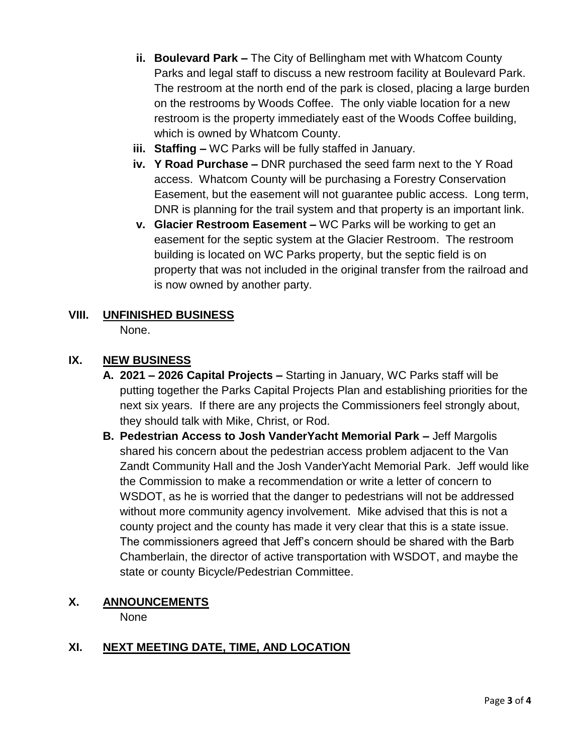- **ii. Boulevard Park –** The City of Bellingham met with Whatcom County Parks and legal staff to discuss a new restroom facility at Boulevard Park. The restroom at the north end of the park is closed, placing a large burden on the restrooms by Woods Coffee. The only viable location for a new restroom is the property immediately east of the Woods Coffee building, which is owned by Whatcom County.
- **iii. Staffing –** WC Parks will be fully staffed in January.
- **iv. Y Road Purchase –** DNR purchased the seed farm next to the Y Road access. Whatcom County will be purchasing a Forestry Conservation Easement, but the easement will not guarantee public access. Long term, DNR is planning for the trail system and that property is an important link.
- **v. Glacier Restroom Easement –** WC Parks will be working to get an easement for the septic system at the Glacier Restroom. The restroom building is located on WC Parks property, but the septic field is on property that was not included in the original transfer from the railroad and is now owned by another party.

# **VIII. UNFINISHED BUSINESS**

None.

# **IX. NEW BUSINESS**

- **A. 2021 – 2026 Capital Projects –** Starting in January, WC Parks staff will be putting together the Parks Capital Projects Plan and establishing priorities for the next six years. If there are any projects the Commissioners feel strongly about, they should talk with Mike, Christ, or Rod.
- **B. Pedestrian Access to Josh VanderYacht Memorial Park –** Jeff Margolis shared his concern about the pedestrian access problem adjacent to the Van Zandt Community Hall and the Josh VanderYacht Memorial Park. Jeff would like the Commission to make a recommendation or write a letter of concern to WSDOT, as he is worried that the danger to pedestrians will not be addressed without more community agency involvement. Mike advised that this is not a county project and the county has made it very clear that this is a state issue. The commissioners agreed that Jeff's concern should be shared with the Barb Chamberlain, the director of active transportation with WSDOT, and maybe the state or county Bicycle/Pedestrian Committee.

# **X. ANNOUNCEMENTS**

None

# **XI. NEXT MEETING DATE, TIME, AND LOCATION**